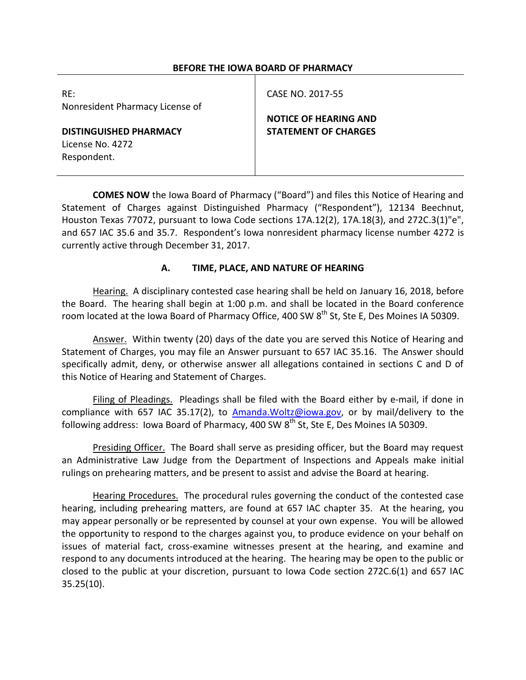#### **BEFORE THE IOWA BOARD OF PHARMACY**

| RE:<br>Nonresident Pharmacy License of                           | CASE NO. 2017-55                                            |
|------------------------------------------------------------------|-------------------------------------------------------------|
| <b>DISTINGUISHED PHARMACY</b><br>License No. 4272<br>Respondent. | <b>NOTICE OF HEARING AND</b><br><b>STATEMENT OF CHARGES</b> |

**COMES NOW** the Iowa Board of Pharmacy ("Board") and files this Notice of Hearing and Statement of Charges against Distinguished Pharmacy ("Respondent"), 12134 Beechnut, Houston Texas 77072, pursuant to Iowa Code sections 17A.12(2), 17A.18(3), and 272C.3(1)"e", and 657 IAC 35.6 and 35.7. Respondent's Iowa nonresident pharmacy license number 4272 is currently active through December 31, 2017.

## **A. TIME, PLACE, AND NATURE OF HEARING**

Hearing. A disciplinary contested case hearing shall be held on January 16, 2018, before the Board. The hearing shall begin at 1:00 p.m. and shall be located in the Board conference room located at the Iowa Board of Pharmacy Office, 400 SW 8<sup>th</sup> St, Ste E, Des Moines IA 50309.

Answer. Within twenty (20) days of the date you are served this Notice of Hearing and Statement of Charges, you may file an Answer pursuant to 657 IAC 35.16. The Answer should specifically admit, deny, or otherwise answer all allegations contained in sections C and D of this Notice of Hearing and Statement of Charges.

Filing of Pleadings. Pleadings shall be filed with the Board either by e-mail, if done in compliance with 657 IAC 35.17(2), to  $\Delta$ manda.Woltz@iowa.gov, or by mail/delivery to the following address: Iowa Board of Pharmacy, 400 SW 8<sup>th</sup> St, Ste E, Des Moines IA 50309.

Presiding Officer. The Board shall serve as presiding officer, but the Board may request an Administrative Law Judge from the Department of Inspections and Appeals make initial rulings on prehearing matters, and be present to assist and advise the Board at hearing.

Hearing Procedures. The procedural rules governing the conduct of the contested case hearing, including prehearing matters, are found at 657 IAC chapter 35. At the hearing, you may appear personally or be represented by counsel at your own expense. You will be allowed the opportunity to respond to the charges against you, to produce evidence on your behalf on issues of material fact, cross-examine witnesses present at the hearing, and examine and respond to any documents introduced at the hearing. The hearing may be open to the public or closed to the public at your discretion, pursuant to Iowa Code section 272C.6(1) and 657 IAC 35.25(10).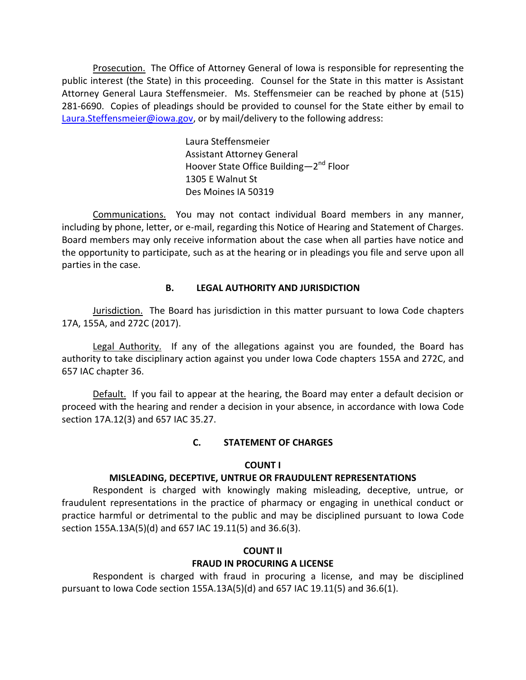Prosecution. The Office of Attorney General of Iowa is responsible for representing the public interest (the State) in this proceeding. Counsel for the State in this matter is Assistant Attorney General Laura Steffensmeier. Ms. Steffensmeier can be reached by phone at (515) 281-6690. Copies of pleadings should be provided to counsel for the State either by email to [Laura.Steffensmeier@iowa.gov,](mailto:Laura.Steffensmeier@iowa.gov) or by mail/delivery to the following address:

> Laura Steffensmeier Assistant Attorney General Hoover State Office Building—2<sup>nd</sup> Floor 1305 E Walnut St Des Moines IA 50319

Communications. You may not contact individual Board members in any manner, including by phone, letter, or e-mail, regarding this Notice of Hearing and Statement of Charges. Board members may only receive information about the case when all parties have notice and the opportunity to participate, such as at the hearing or in pleadings you file and serve upon all parties in the case.

# **B. LEGAL AUTHORITY AND JURISDICTION**

Jurisdiction. The Board has jurisdiction in this matter pursuant to Iowa Code chapters 17A, 155A, and 272C (2017).

Legal Authority. If any of the allegations against you are founded, the Board has authority to take disciplinary action against you under Iowa Code chapters 155A and 272C, and 657 IAC chapter 36.

Default. If you fail to appear at the hearing, the Board may enter a default decision or proceed with the hearing and render a decision in your absence, in accordance with Iowa Code section 17A.12(3) and 657 IAC 35.27.

## **C. STATEMENT OF CHARGES**

## **COUNT I**

# **MISLEADING, DECEPTIVE, UNTRUE OR FRAUDULENT REPRESENTATIONS**

Respondent is charged with knowingly making misleading, deceptive, untrue, or fraudulent representations in the practice of pharmacy or engaging in unethical conduct or practice harmful or detrimental to the public and may be disciplined pursuant to Iowa Code section 155A.13A(5)(d) and 657 IAC 19.11(5) and 36.6(3).

# **COUNT II FRAUD IN PROCURING A LICENSE**

Respondent is charged with fraud in procuring a license, and may be disciplined pursuant to Iowa Code section 155A.13A(5)(d) and 657 IAC 19.11(5) and 36.6(1).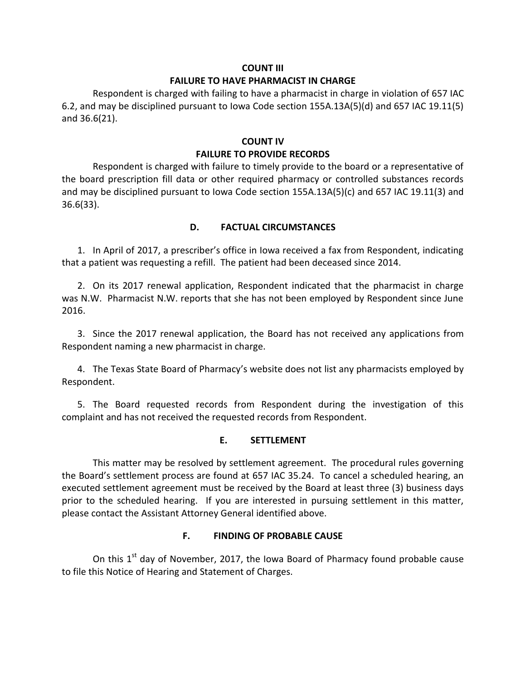#### **COUNT III**

# **FAILURE TO HAVE PHARMACIST IN CHARGE**

Respondent is charged with failing to have a pharmacist in charge in violation of 657 IAC 6.2, and may be disciplined pursuant to Iowa Code section 155A.13A(5)(d) and 657 IAC 19.11(5) and 36.6(21).

# **COUNT IV FAILURE TO PROVIDE RECORDS**

Respondent is charged with failure to timely provide to the board or a representative of the board prescription fill data or other required pharmacy or controlled substances records and may be disciplined pursuant to Iowa Code section 155A.13A(5)(c) and 657 IAC 19.11(3) and 36.6(33).

# **D. FACTUAL CIRCUMSTANCES**

1. In April of 2017, a prescriber's office in Iowa received a fax from Respondent, indicating that a patient was requesting a refill. The patient had been deceased since 2014.

2. On its 2017 renewal application, Respondent indicated that the pharmacist in charge was N.W. Pharmacist N.W. reports that she has not been employed by Respondent since June 2016.

3. Since the 2017 renewal application, the Board has not received any applications from Respondent naming a new pharmacist in charge.

4. The Texas State Board of Pharmacy's website does not list any pharmacists employed by Respondent.

5. The Board requested records from Respondent during the investigation of this complaint and has not received the requested records from Respondent.

## **E. SETTLEMENT**

This matter may be resolved by settlement agreement. The procedural rules governing the Board's settlement process are found at 657 IAC 35.24. To cancel a scheduled hearing, an executed settlement agreement must be received by the Board at least three (3) business days prior to the scheduled hearing. If you are interested in pursuing settlement in this matter, please contact the Assistant Attorney General identified above.

## **F. FINDING OF PROBABLE CAUSE**

On this  $1<sup>st</sup>$  day of November, 2017, the Iowa Board of Pharmacy found probable cause to file this Notice of Hearing and Statement of Charges.